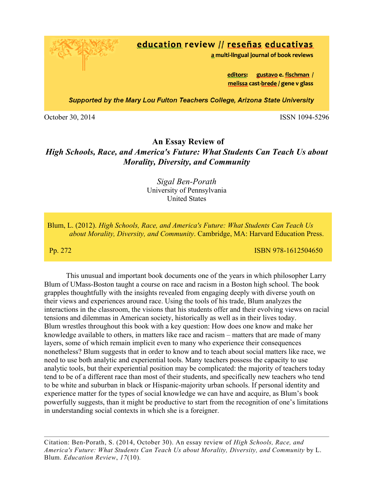education review // reseñas educativas

a multi-lingual journal of book reviews

editors: gustavo e. fischman / melissa cast-brede / gene v glass

Supported by the Mary Lou Fulton Teachers College, Arizona State University

October 30, 2014 ISSN 1094-5296

## **An Essay Review of**

## *High Schools, Race, and America's Future: What Students Can Teach Us about Morality, Diversity, and Community*

## *Sigal Ben-Porath* University of Pennsylvania United States

Blum, L. (2012). *High Schools, Race, and America's Future: What Students Can Teach Us about Morality, Diversity, and Community*. Cambridge, MA: Harvard Education Press.

**Pp. 272 ISBN 978-1612504650** 

This unusual and important book documents one of the years in which philosopher Larry Blum of UMass-Boston taught a course on race and racism in a Boston high school. The book grapples thoughtfully with the insights revealed from engaging deeply with diverse youth on their views and experiences around race. Using the tools of his trade, Blum analyzes the interactions in the classroom, the visions that his students offer and their evolving views on racial tensions and dilemmas in American society, historically as well as in their lives today. Blum wrestles throughout this book with a key question: How does one know and make her knowledge available to others, in matters like race and racism – matters that are made of many layers, some of which remain implicit even to many who experience their consequences nonetheless? Blum suggests that in order to know and to teach about social matters like race, we need to use both analytic and experiential tools. Many teachers possess the capacity to use analytic tools, but their experiential position may be complicated: the majority of teachers today tend to be of a different race than most of their students, and specifically new teachers who tend to be white and suburban in black or Hispanic-majority urban schools. If personal identity and experience matter for the types of social knowledge we can have and acquire, as Blum's book powerfully suggests, than it might be productive to start from the recognition of one's limitations in understanding social contexts in which she is a foreigner.

Citation: Ben-Porath, S. (2014, October 30). An essay review of *High Schools, Race, and America's Future: What Students Can Teach Us about Morality, Diversity, and Community* by L. Blum. *Education Review*, *17*(10)*.*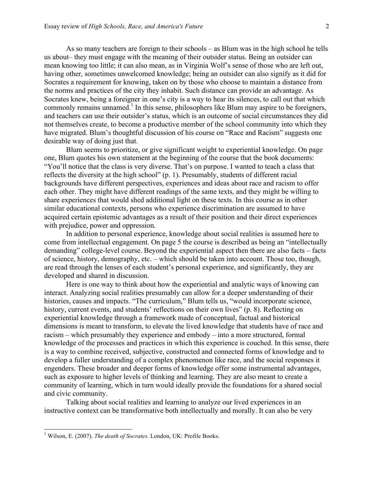As so many teachers are foreign to their schools – as Blum was in the high school he tells us about– they must engage with the meaning of their outsider status. Being an outsider can mean knowing too little; it can also mean, as in Virginia Wolf's sense of those who are left out, having other, sometimes unwelcomed knowledge; being an outsider can also signify as it did for Socrates a requirement for knowing, taken on by those who choose to maintain a distance from the norms and practices of the city they inhabit. Such distance can provide an advantage. As Socrates knew, being a foreigner in one's city is a way to hear its silences, to call out that which commonly remains unnamed.<sup>1</sup> In this sense, philosophers like Blum may aspire to be foreigners, and teachers can use their outsider's status, which is an outcome of social circumstances they did not themselves create, to become a productive member of the school community into which they have migrated. Blum's thoughtful discussion of his course on "Race and Racism" suggests one desirable way of doing just that.

Blum seems to prioritize, or give significant weight to experiential knowledge. On page one, Blum quotes his own statement at the beginning of the course that the book documents: "You'll notice that the class is very diverse. That's on purpose. I wanted to teach a class that reflects the diversity at the high school" (p. 1). Presumably, students of different racial backgrounds have different perspectives, experiences and ideas about race and racism to offer each other. They might have different readings of the same texts, and they might be willing to share experiences that would shed additional light on these texts. In this course as in other similar educational contexts, persons who experience discrimination are assumed to have acquired certain epistemic advantages as a result of their position and their direct experiences with prejudice, power and oppression.

In addition to personal experience, knowledge about social realities is assumed here to come from intellectual engagement. On page 5 the course is described as being an "intellectually demanding" college-level course. Beyond the experiential aspect then there are also facts – facts of science, history, demography, etc. – which should be taken into account. Those too, though, are read through the lenses of each student's personal experience, and significantly, they are developed and shared in discussion.

Here is one way to think about how the experiential and analytic ways of knowing can interact. Analyzing social realities presumably can allow for a deeper understanding of their histories, causes and impacts. "The curriculum," Blum tells us, "would incorporate science, history, current events, and students' reflections on their own lives" (p. 8). Reflecting on experiential knowledge through a framework made of conceptual, factual and historical dimensions is meant to transform, to elevate the lived knowledge that students have of race and racism – which presumably they experience and embody – into a more structured, formal knowledge of the processes and practices in which this experience is couched. In this sense, there is a way to combine received, subjective, constructed and connected forms of knowledge and to develop a fuller understanding of a complex phenomenon like race, and the social responses it engenders. These broader and deeper forms of knowledge offer some instrumental advantages, such as exposure to higher levels of thinking and learning. They are also meant to create a community of learning, which in turn would ideally provide the foundations for a shared social and civic community.

Talking about social realities and learning to analyze our lived experiences in an instructive context can be transformative both intellectually and morally. It can also be very

<sup>&</sup>lt;sup>1</sup> Wilson, E. (2007). *The death of Socrates*. London, UK: Profile Books.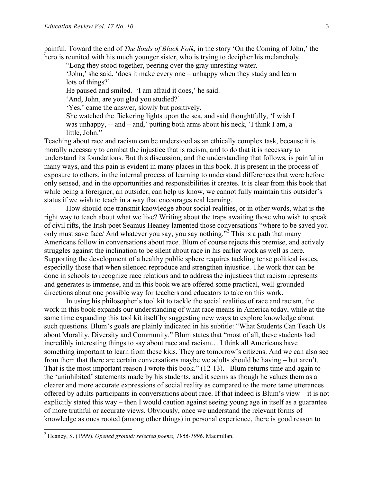painful. Toward the end of *The Souls of Black Folk,* in the story 'On the Coming of John,' the hero is reunited with his much younger sister, who is trying to decipher his melancholy.

"Long they stood together, peering over the gray unresting water.

'John,' she said, 'does it make every one – unhappy when they study and learn lots of things?'

He paused and smiled. 'I am afraid it does,' he said.

'And, John, are you glad you studied?'

'Yes,' came the answer, slowly but positively.

She watched the flickering lights upon the sea, and said thoughtfully, 'I wish I was unhappy, -- and – and,' putting both arms about his neck, 'I think I am, a little, John."

Teaching about race and racism can be understood as an ethically complex task, because it is morally necessary to combat the injustice that is racism, and to do that it is necessary to understand its foundations. But this discussion, and the understanding that follows, is painful in many ways, and this pain is evident in many places in this book. It is present in the process of exposure to others, in the internal process of learning to understand differences that were before only sensed, and in the opportunities and responsibilities it creates. It is clear from this book that while being a foreigner, an outsider, can help us know, we cannot fully maintain this outsider's status if we wish to teach in a way that encourages real learning.

How should one transmit knowledge about social realities, or in other words, what is the right way to teach about what we live? Writing about the traps awaiting those who wish to speak of civil rifts, the Irish poet Seamus Heaney lamented those conversations "where to be saved you only must save face/ And whatever you say, you say nothing."<sup>2</sup> This is a path that many Americans follow in conversations about race. Blum of course rejects this premise, and actively struggles against the inclination to be silent about race in his earlier work as well as here. Supporting the development of a healthy public sphere requires tackling tense political issues, especially those that when silenced reproduce and strengthen injustice. The work that can be done in schools to recognize race relations and to address the injustices that racism represents and generates is immense, and in this book we are offered some practical, well-grounded directions about one possible way for teachers and educators to take on this work.

In using his philosopher's tool kit to tackle the social realities of race and racism, the work in this book expands our understanding of what race means in America today, while at the same time expanding this tool kit itself by suggesting new ways to explore knowledge about such questions. Blum's goals are plainly indicated in his subtitle: "What Students Can Teach Us about Morality, Diversity and Community." Blum states that "most of all, these students had incredibly interesting things to say about race and racism… I think all Americans have something important to learn from these kids. They are tomorrow's citizens. And we can also see from them that there are certain conversations maybe we adults should be having – but aren't. That is the most important reason I wrote this book." (12-13). Blum returns time and again to the 'uninhibited' statements made by his students, and it seems as though he values them as a clearer and more accurate expressions of social reality as compared to the more tame utterances offered by adults participants in conversations about race. If that indeed is Blum's view – it is not explicitly stated this way – then I would caution against seeing young age in itself as a guarantee of more truthful or accurate views. Obviously, once we understand the relevant forms of knowledge as ones rooted (among other things) in personal experience, there is good reason to

 <sup>2</sup> Heaney, S. (1999). *Opened ground: selected poems, 1966-1996*. Macmillan.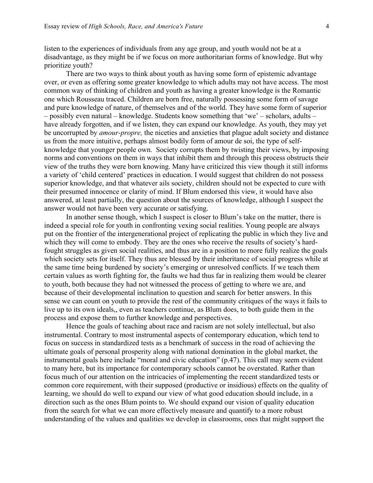listen to the experiences of individuals from any age group, and youth would not be at a disadvantage, as they might be if we focus on more authoritarian forms of knowledge. But why prioritize youth?

There are two ways to think about youth as having some form of epistemic advantage over, or even as offering some greater knowledge to which adults may not have access. The most common way of thinking of children and youth as having a greater knowledge is the Romantic one which Rousseau traced. Children are born free, naturally possessing some form of savage and pure knowledge of nature, of themselves and of the world. They have some form of superior – possibly even natural – knowledge. Students know something that 'we' – scholars, adults – have already forgotten, and if we listen, they can expand our knowledge. As youth, they may yet be uncorrupted by *amour-propre,* the niceties and anxieties that plague adult society and distance us from the more intuitive, perhaps almost bodily form of amour de soi, the type of selfknowledge that younger people own. Society corrupts them by twisting their views, by imposing norms and conventions on them in ways that inhibit them and through this process obstructs their view of the truths they were born knowing. Many have criticized this view though it still informs a variety of 'child centered' practices in education. I would suggest that children do not possess superior knowledge, and that whatever ails society, children should not be expected to cure with their presumed innocence or clarity of mind. If Blum endorsed this view, it would have also answered, at least partially, the question about the sources of knowledge, although I suspect the answer would not have been very accurate or satisfying.

In another sense though, which I suspect is closer to Blum's take on the matter, there is indeed a special role for youth in confronting vexing social realities. Young people are always put on the frontier of the intergenerational project of replicating the public in which they live and which they will come to embody. They are the ones who receive the results of society's hardfought struggles as given social realities, and thus are in a position to more fully realize the goals which society sets for itself. They thus are blessed by their inheritance of social progress while at the same time being burdened by society's emerging or unresolved conflicts. If we teach them certain values as worth fighting for, the faults we had thus far in realizing them would be clearer to youth, both because they had not witnessed the process of getting to where we are, and because of their developmental inclination to question and search for better answers. In this sense we can count on youth to provide the rest of the community critiques of the ways it fails to live up to its own ideals,, even as teachers continue, as Blum does, to both guide them in the process and expose them to further knowledge and perspectives.

Hence the goals of teaching about race and racism are not solely intellectual, but also instrumental. Contrary to most instrumental aspects of contemporary education, which tend to focus on success in standardized tests as a benchmark of success in the road of achieving the ultimate goals of personal prosperity along with national domination in the global market, the instrumental goals here include "moral and civic education" (p.47). This call may seem evident to many here, but its importance for contemporary schools cannot be overstated. Rather than focus much of our attention on the intricacies of implementing the recent standardized tests or common core requirement, with their supposed (productive or insidious) effects on the quality of learning, we should do well to expand our view of what good education should include, in a direction such as the ones Blum points to. We should expand our vision of quality education from the search for what we can more effectively measure and quantify to a more robust understanding of the values and qualities we develop in classrooms, ones that might support the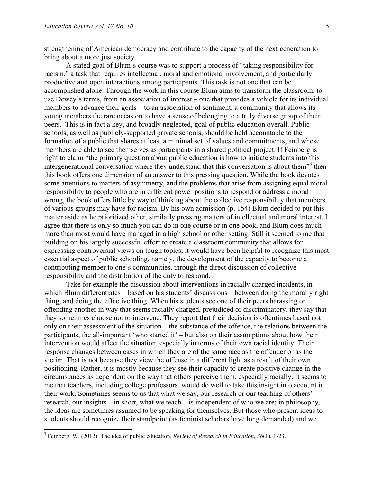strengthening of American democracy and contribute to the capacity of the next generation to bring about a more just society.

A stated goal of Blum's course was to support a process of "taking responsibility for racism," a task that requires intellectual, moral and emotional involvement, and particularly productive and open interactions among participants. This task is not one that can be accomplished alone. Through the work in this course Blum aims to transform the classroom, to use Dewey's terms, from an association of interest – one that provides a vehicle for its individual members to advance their goals – to an association of sentiment, a community that allows its young members the rare occasion to have a sense of belonging to a truly diverse group of their peers. This is in fact a key, and broadly neglected, goal of public education overall. Public schools, as well as publicly-supported private schools, should be held accountable to the formation of a public that shares at least a minimal set of values and commitments, and whose members are able to see themselves as participants in a shared political project. If Feinberg is right to claim "the primary question about public education is how to initiate students into this intergenerational conversation where they understand that this conversation is about them $^{3}$  then this book offers one dimension of an answer to this pressing question. While the book devotes some attentions to matters of asymmetry, and the problems that arise from assigning equal moral responsibility to people who are in different power positions to respond or address a moral wrong, the book offers little by way of thinking about the collective responsibility that members of various groups may have for racism. By his own admission (p. 154) Blum decided to put this matter aside as he prioritized other, similarly pressing matters of intellectual and moral interest. I agree that there is only so much you can do in one course or in one book, and Blum does much more than most would have managed in a high school or other setting. Still it seemed to me that building on his largely successful effort to create a classroom community that allows for expressing controversial views on tough topics, it would have been helpful to recognize this most essential aspect of public schooling, namely, the development of the capacity to become a contributing member to one's communities, through the direct discussion of collective responsibility and the distribution of the duty to respond.

Take for example the discussion about interventions in racially charged incidents, in which Blum differentiates – based on his students' discussions – between doing the morally right thing, and doing the effective thing. When his students see one of their peers harassing or offending another in way that seems racially charged, prejudiced or discriminatory, they say that they sometimes choose not to intervene. They report that their decision is oftentimes based not only on their assessment of the situation – the substance of the offence, the relations between the participants, the all-important 'who started it' – but also on their assumptions about how their intervention would affect the situation, especially in terms of their own racial identity. Their response changes between cases in which they are of the same race as the offender or as the victim. That is not because they view the offense in a different light as a result of their own positioning. Rather, it is mostly because they see their capacity to create positive change in the circumstances as dependent on the way that others perceive them, especially racially. It seems to me that teachers, including college professors, would do well to take this insight into account in their work. Sometimes seems to us that what we say, our research or our teaching of others' research, our insights – in short, what we teach – is independent of who we are; in philosophy, the ideas are sometimes assumed to be speaking for themselves. But those who present ideas to students should recognize their standpoint (as feminist scholars have long demanded) and we

 <sup>3</sup> Feinberg, W. (2012). The idea of public education. *Review of Research in Education, <sup>36</sup>*(1), 1-23.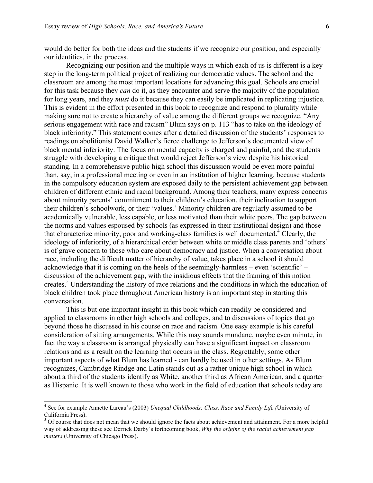would do better for both the ideas and the students if we recognize our position, and especially our identities, in the process.

Recognizing our position and the multiple ways in which each of us is different is a key step in the long-term political project of realizing our democratic values. The school and the classroom are among the most important locations for advancing this goal. Schools are crucial for this task because they *can* do it, as they encounter and serve the majority of the population for long years, and they *must* do it because they can easily be implicated in replicating injustice. This is evident in the effort presented in this book to recognize and respond to plurality while making sure not to create a hierarchy of value among the different groups we recognize. "Any serious engagement with race and racism" Blum says on p. 113 "has to take on the ideology of black inferiority." This statement comes after a detailed discussion of the students' responses to readings on abolitionist David Walker's fierce challenge to Jefferson's documented view of black mental inferiority. The focus on mental capacity is charged and painful, and the students struggle with developing a critique that would reject Jefferson's view despite his historical standing. In a comprehensive public high school this discussion would be even more painful than, say, in a professional meeting or even in an institution of higher learning, because students in the compulsory education system are exposed daily to the persistent achievement gap between children of different ethnic and racial background. Among their teachers, many express concerns about minority parents' commitment to their children's education, their inclination to support their children's schoolwork, or their 'values.' Minority children are regularly assumed to be academically vulnerable, less capable, or less motivated than their white peers. The gap between the norms and values espoused by schools (as expressed in their institutional design) and those that characterize minority, poor and working-class families is well documented. <sup>4</sup> Clearly, the ideology of inferiority, of a hierarchical order between white or middle class parents and 'others' is of grave concern to those who care about democracy and justice. When a conversation about race, including the difficult matter of hierarchy of value, takes place in a school it should acknowledge that it is coming on the heels of the seemingly-harmless – even 'scientific' – discussion of the achievement gap, with the insidious effects that the framing of this notion creates.<sup>5</sup> Understanding the history of race relations and the conditions in which the education of black children took place throughout American history is an important step in starting this conversation.

This is but one important insight in this book which can readily be considered and applied to classrooms in other high schools and colleges, and to discussions of topics that go beyond those he discussed in his course on race and racism. One easy example is his careful consideration of sitting arrangements. While this may sounds mundane, maybe even minute, in fact the way a classroom is arranged physically can have a significant impact on classroom relations and as a result on the learning that occurs in the class. Regrettably, some other important aspects of what Blum has learned - can hardly be used in other settings. As Blum recognizes, Cambridge Rindge and Latin stands out as a rather unique high school in which about a third of the students identify as White, another third as African American, and a quarter as Hispanic. It is well known to those who work in the field of education that schools today are

 <sup>4</sup> See for example Annette Lareau's (2003) *Unequal Childhoods: Class, Race and Family Life (*University of California Press).<br><sup>5</sup> Of course that does not mean that we should ignore the facts about achievement and attainment. For a more helpful

way of addressing these see Derrick Darby's forthcoming book, *Why the origins of the racial achievement gap matters* (University of Chicago Press).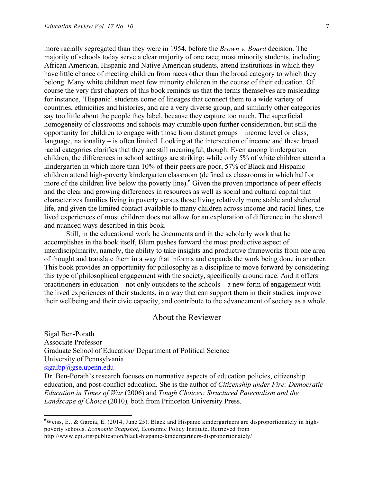more racially segregated than they were in 1954, before the *Brown v. Board* decision. The majority of schools today serve a clear majority of one race; most minority students, including African American, Hispanic and Native American students, attend institutions in which they have little chance of meeting children from races other than the broad category to which they belong. Many white children meet few minority children in the course of their education. Of course the very first chapters of this book reminds us that the terms themselves are misleading – for instance, 'Hispanic' students come of lineages that connect them to a wide variety of countries, ethnicities and histories, and are a very diverse group, and similarly other categories say too little about the people they label, because they capture too much. The superficial homogeneity of classrooms and schools may crumble upon further consideration, but still the opportunity for children to engage with those from distinct groups – income level or class, language, nationality – is often limited. Looking at the intersection of income and these broad racial categories clarifies that they are still meaningful, though. Even among kindergarten children, the differences in school settings are striking: while only 5% of white children attend a kindergarten in which more than 10% of their peers are poor, 57% of Black and Hispanic children attend high-poverty kindergarten classroom (defined as classrooms in which half or more of the children live below the poverty line).<sup>6</sup> Given the proven importance of peer effects and the clear and growing differences in resources as well as social and cultural capital that characterizes families living in poverty versus those living relatively more stable and sheltered life, and given the limited contact available to many children across income and racial lines, the lived experiences of most children does not allow for an exploration of difference in the shared and nuanced ways described in this book.

Still, in the educational work he documents and in the scholarly work that he accomplishes in the book itself, Blum pushes forward the most productive aspect of interdisciplinarity, namely, the ability to take insights and productive frameworks from one area of thought and translate them in a way that informs and expands the work being done in another. This book provides an opportunity for philosophy as a discipline to move forward by considering this type of philosophical engagement with the society, specifically around race. And it offers practitioners in education – not only outsiders to the schools – a new form of engagement with the lived experiences of their students, in a way that can support them in their studies, improve their wellbeing and their civic capacity, and contribute to the advancement of society as a whole.

## About the Reviewer

Sigal Ben-Porath Associate Professor Graduate School of Education/ Department of Political Science University of Pennsylvania  $sigalbp@ggse.upenn.edu$ Dr. Ben-Porath's research focuses on normative aspects of education policies, citizenship

education, and post-conflict education. She is the author of *Citizenship under Fire: Democratic Education in Times of War* (2006) and *Tough Choices: Structured Paternalism and the Landscape of Choice* (2010)*,* both from Princeton University Press.

<sup>&</sup>lt;sup>6</sup>Weiss, E., & Garcia, E. (2014, June 25). Black and Hispanic kindergartners are disproportionately in highpoverty schools. *Economic Snapshot*, Economic Policy Institute. Retrieved from http://www.epi.org/publication/black-hispanic-kindergartners-disproportionately/